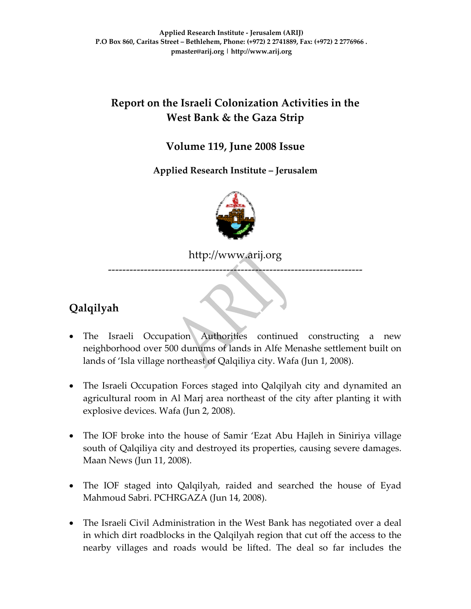# **Report on the Israeli Colonization Activities in the West Bank & the Gaza Strip**

### **Volume 119, June 2008 Issue**

**Applied Research Institute – Jerusalem** 



http://www.arij.org

‐‐‐‐‐‐‐‐‐‐‐‐‐‐‐‐‐‐‐‐‐‐‐‐‐‐‐‐‐‐‐‐‐‐‐‐‐‐‐‐‐‐‐‐‐‐‐‐‐‐‐‐‐‐‐‐‐‐‐‐‐‐‐‐‐‐‐‐‐‐‐

# **Qalqilyah**

- The Israeli Occupation Authorities continued constructing a new neighborhood over 500 dunums of lands in Alfe Menashe settlement built on lands of 'Isla village northeast of Qalqiliya city. Wafa (Jun 1, 2008).
- The Israeli Occupation Forces staged into Qalqilyah city and dynamited an agricultural room in Al Marj area northeast of the city after planting it with explosive devices. Wafa (Jun 2, 2008).
- The IOF broke into the house of Samir 'Ezat Abu Hajleh in Siniriya village south of Qalqiliya city and destroyed its properties, causing severe damages. Maan News (Jun 11, 2008).
- The IOF staged into Qalqilyah, raided and searched the house of Eyad Mahmoud Sabri. PCHRGAZA (Jun 14, 2008).
- The Israeli Civil Administration in the West Bank has negotiated over a deal in which dirt roadblocks in the Qalqilyah region that cut off the access to the nearby villages and roads would be lifted. The deal so far includes the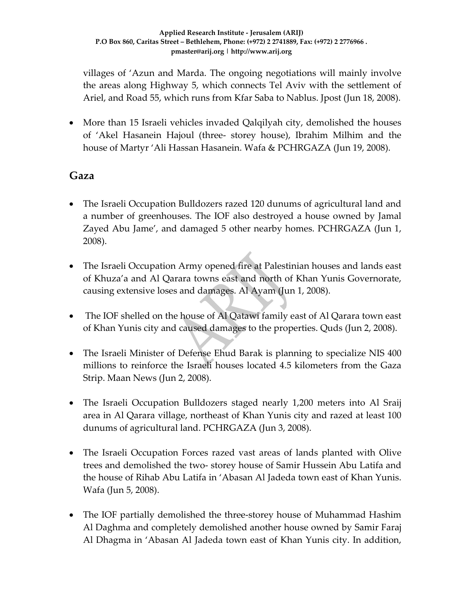villages of 'Azun and Marda. The ongoing negotiations will mainly involve the areas along Highway 5, which connects Tel Aviv with the settlement of Ariel, and Road 55, which runs from Kfar Saba to Nablus. Jpost (Jun 18, 2008).

• More than 15 Israeli vehicles invaded Qalqilyah city, demolished the houses of 'Akel Hasanein Hajoul (three‐ storey house), Ibrahim Milhim and the house of Martyr 'Ali Hassan Hasanein. Wafa & PCHRGAZA (Jun 19, 2008).

## **Gaza**

- The Israeli Occupation Bulldozers razed 120 dunums of agricultural land and a number of greenhouses. The IOF also destroyed a house owned by Jamal Zayed Abu Jame', and damaged 5 other nearby homes. PCHRGAZA (Jun 1, 2008).
- The Israeli Occupation Army opened fire at Palestinian houses and lands east of Khuza'a and Al Qarara towns east and north of Khan Yunis Governorate, causing extensive loses and damages. Al Ayam (Jun 1, 2008).
- The IOF shelled on the house of Al Qatawi family east of Al Qarara town east of Khan Yunis city and caused damages to the properties. Quds (Jun 2, 2008).
- The Israeli Minister of Defense Ehud Barak is planning to specialize NIS 400 millions to reinforce the Israeli houses located 4.5 kilometers from the Gaza Strip. Maan News (Jun 2, 2008).
- The Israeli Occupation Bulldozers staged nearly 1,200 meters into Al Sraij area in Al Qarara village, northeast of Khan Yunis city and razed at least 100 dunums of agricultural land. PCHRGAZA (Jun 3, 2008).
- The Israeli Occupation Forces razed vast areas of lands planted with Olive trees and demolished the two‐ storey house of Samir Hussein Abu Latifa and the house of Rihab Abu Latifa in 'Abasan Al Jadeda town east of Khan Yunis. Wafa (Jun 5, 2008).
- The IOF partially demolished the three‐storey house of Muhammad Hashim Al Daghma and completely demolished another house owned by Samir Faraj Al Dhagma in 'Abasan Al Jadeda town east of Khan Yunis city. In addition,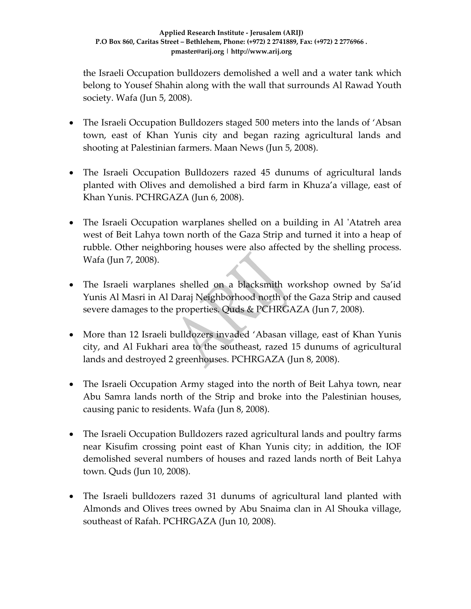the Israeli Occupation bulldozers demolished a well and a water tank which belong to Yousef Shahin along with the wall that surrounds Al Rawad Youth society. Wafa (Jun 5, 2008).

- The Israeli Occupation Bulldozers staged 500 meters into the lands of 'Absan town, east of Khan Yunis city and began razing agricultural lands and shooting at Palestinian farmers. Maan News (Jun 5, 2008).
- The Israeli Occupation Bulldozers razed 45 dunums of agricultural lands planted with Olives and demolished a bird farm in Khuza'a village, east of Khan Yunis. PCHRGAZA (Jun 6, 2008).
- The Israeli Occupation warplanes shelled on a building in Al 'Atatreh area west of Beit Lahya town north of the Gaza Strip and turned it into a heap of rubble. Other neighboring houses were also affected by the shelling process. Wafa (Jun 7, 2008).
- The Israeli warplanes shelled on a blacksmith workshop owned by Sa'id Yunis Al Masri in Al Daraj Neighborhood north of the Gaza Strip and caused severe damages to the properties. Quds & PCHRGAZA (Jun 7, 2008).
- More than 12 Israeli bulldozers invaded 'Abasan village, east of Khan Yunis city, and Al Fukhari area to the southeast, razed 15 dunums of agricultural lands and destroyed 2 greenhouses. PCHRGAZA (Jun 8, 2008).
- The Israeli Occupation Army staged into the north of Beit Lahya town, near Abu Samra lands north of the Strip and broke into the Palestinian houses, causing panic to residents. Wafa (Jun 8, 2008).
- The Israeli Occupation Bulldozers razed agricultural lands and poultry farms near Kisufim crossing point east of Khan Yunis city; in addition, the IOF demolished several numbers of houses and razed lands north of Beit Lahya town. Quds (Jun 10, 2008).
- The Israeli bulldozers razed 31 dunums of agricultural land planted with Almonds and Olives trees owned by Abu Snaima clan in Al Shouka village, southeast of Rafah. PCHRGAZA (Jun 10, 2008).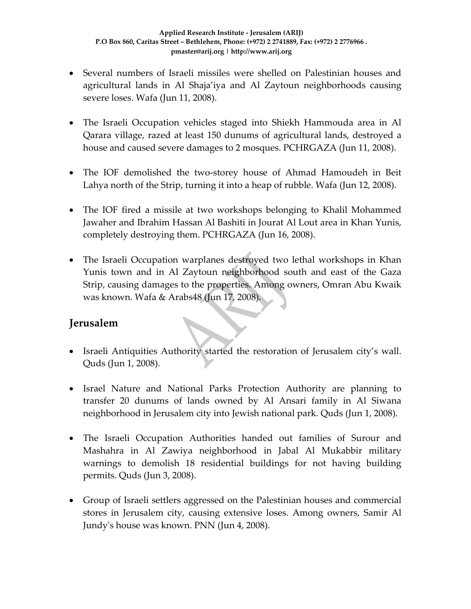- Several numbers of Israeli missiles were shelled on Palestinian houses and agricultural lands in Al Shaja'iya and Al Zaytoun neighborhoods causing severe loses. Wafa (Jun 11, 2008).
- The Israeli Occupation vehicles staged into Shiekh Hammouda area in Al Qarara village, razed at least 150 dunums of agricultural lands, destroyed a house and caused severe damages to 2 mosques. PCHRGAZA (Jun 11, 2008).
- The IOF demolished the two‐storey house of Ahmad Hamoudeh in Beit Lahya north of the Strip, turning it into a heap of rubble. Wafa (Jun 12, 2008).
- The IOF fired a missile at two workshops belonging to Khalil Mohammed Jawaher and Ibrahim Hassan Al Bashiti in Jourat Al Lout area in Khan Yunis, completely destroying them. PCHRGAZA (Jun 16, 2008).
- The Israeli Occupation warplanes destroyed two lethal workshops in Khan Yunis town and in Al Zaytoun neighborhood south and east of the Gaza Strip, causing damages to the properties. Among owners, Omran Abu Kwaik was known. Wafa & Arabs48 (Jun 17, 2008).

## **Jerusalem**

- Israeli Antiquities Authority started the restoration of Jerusalem city's wall. Quds (Jun 1, 2008).
- Israel Nature and National Parks Protection Authority are planning to transfer 20 dunums of lands owned by Al Ansari family in Al Siwana neighborhood in Jerusalem city into Jewish national park. Quds (Jun 1, 2008).
- The Israeli Occupation Authorities handed out families of Surour and Mashahra in Al Zawiya neighborhood in Jabal Al Mukabbir military warnings to demolish 18 residential buildings for not having building permits. Quds (Jun 3, 2008).
- Group of Israeli settlers aggressed on the Palestinian houses and commercial stores in Jerusalem city, causing extensive loses. Among owners, Samir Al Jundyʹs house was known. PNN (Jun 4, 2008).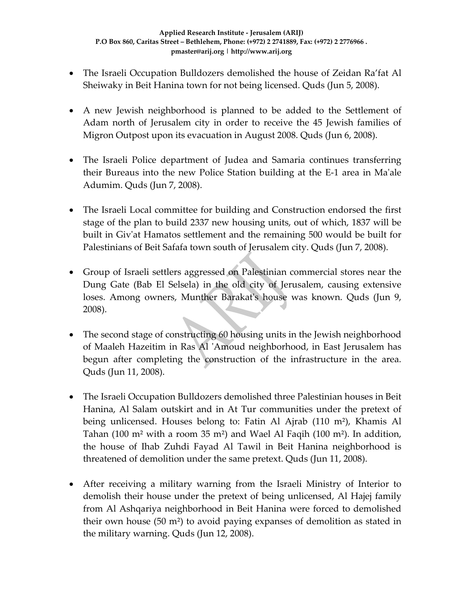- The Israeli Occupation Bulldozers demolished the house of Zeidan Ra'fat Al Sheiwaky in Beit Hanina town for not being licensed. Quds (Jun 5, 2008).
- A new Jewish neighborhood is planned to be added to the Settlement of Adam north of Jerusalem city in order to receive the 45 Jewish families of Migron Outpost upon its evacuation in August 2008. Quds (Jun 6, 2008).
- The Israeli Police department of Judea and Samaria continues transferring their Bureaus into the new Police Station building at the E‐1 area in Maʹale Adumim. Quds (Jun 7, 2008).
- The Israeli Local committee for building and Construction endorsed the first stage of the plan to build 2337 new housing units, out of which, 1837 will be built in Givʹat Hamatos settlement and the remaining 500 would be built for Palestinians of Beit Safafa town south of Jerusalem city. Quds (Jun 7, 2008).
- Group of Israeli settlers aggressed on Palestinian commercial stores near the Dung Gate (Bab El Selsela) in the old city of Jerusalem, causing extensive loses. Among owners, Munther Barakat's house was known. Quds (Jun 9, 2008).
- The second stage of constructing 60 housing units in the Jewish neighborhood of Maaleh Hazeitim in Ras Al 'Amoud neighborhood, in East Jerusalem has begun after completing the construction of the infrastructure in the area. Quds (Jun 11, 2008).
- The Israeli Occupation Bulldozers demolished three Palestinian houses in Beit Hanina, Al Salam outskirt and in At Tur communities under the pretext of being unlicensed. Houses belong to: Fatin Al Ajrab (110 m²), Khamis Al Tahan (100 m<sup>2</sup> with a room 35 m<sup>2</sup>) and Wael Al Faqih (100 m<sup>2</sup>). In addition, the house of Ihab Zuhdi Fayad Al Tawil in Beit Hanina neighborhood is threatened of demolition under the same pretext. Quds (Jun 11, 2008).
- After receiving a military warning from the Israeli Ministry of Interior to demolish their house under the pretext of being unlicensed, Al Hajej family from Al Ashqariya neighborhood in Beit Hanina were forced to demolished their own house (50 m²) to avoid paying expanses of demolition as stated in the military warning. Quds (Jun 12, 2008).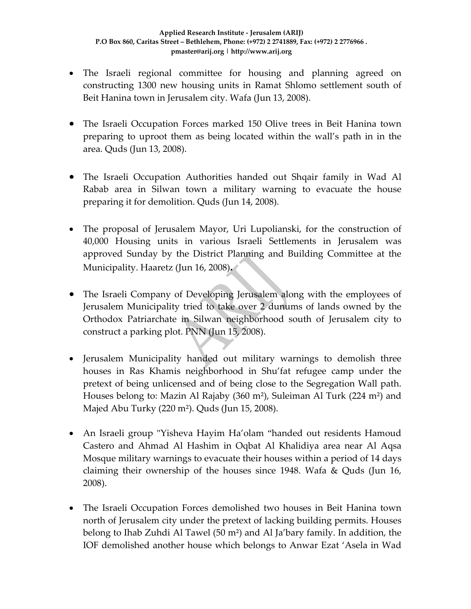- The Israeli regional committee for housing and planning agreed on constructing 1300 new housing units in Ramat Shlomo settlement south of Beit Hanina town in Jerusalem city. Wafa (Jun 13, 2008).
- The Israeli Occupation Forces marked 150 Olive trees in Beit Hanina town preparing to uproot them as being located within the wall's path in in the area. Quds (Jun 13, 2008).
- The Israeli Occupation Authorities handed out Shqair family in Wad Al Rabab area in Silwan town a military warning to evacuate the house preparing it for demolition. Quds (Jun 14, 2008).
- The proposal of Jerusalem Mayor, Uri Lupolianski, for the construction of 40,000 Housing units in various Israeli Settlements in Jerusalem was approved Sunday by the District Planning and Building Committee at the Municipality. Haaretz (Jun 16, 2008)**.**
- The Israeli Company of Developing Jerusalem along with the employees of Jerusalem Municipality tried to take over 2 dunums of lands owned by the Orthodox Patriarchate in Silwan neighborhood south of Jerusalem city to construct a parking plot. PNN (Jun 15, 2008).
- Jerusalem Municipality handed out military warnings to demolish three houses in Ras Khamis neighborhood in Shu'fat refugee camp under the pretext of being unlicensed and of being close to the Segregation Wall path. Houses belong to: Mazin Al Rajaby (360 m²), Suleiman Al Turk (224 m²) and Majed Abu Turky (220 m²). Quds (Jun 15, 2008).
- An Israeli group "Yisheva Hayim Ha'olam "handed out residents Hamoud Castero and Ahmad Al Hashim in Oqbat Al Khalidiya area near Al Aqsa Mosque military warnings to evacuate their houses within a period of 14 days claiming their ownership of the houses since 1948. Wafa & Quds (Jun 16, 2008).
- The Israeli Occupation Forces demolished two houses in Beit Hanina town north of Jerusalem city under the pretext of lacking building permits. Houses belong to Ihab Zuhdi Al Tawel (50 m²) and Al Ja'bary family. In addition, the IOF demolished another house which belongs to Anwar Ezat 'Asela in Wad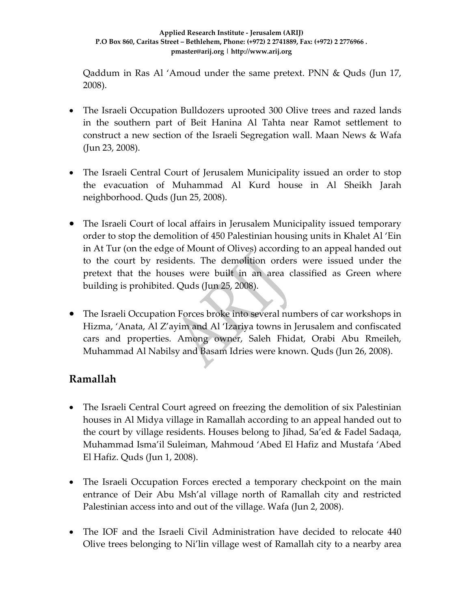Qaddum in Ras Al 'Amoud under the same pretext. PNN & Quds (Jun 17, 2008).

- The Israeli Occupation Bulldozers uprooted 300 Olive trees and razed lands in the southern part of Beit Hanina Al Tahta near Ramot settlement to construct a new section of the Israeli Segregation wall. Maan News & Wafa (Jun 23, 2008).
- The Israeli Central Court of Jerusalem Municipality issued an order to stop the evacuation of Muhammad Al Kurd house in Al Sheikh Jarah neighborhood. Quds (Jun 25, 2008).
- The Israeli Court of local affairs in Jerusalem Municipality issued temporary order to stop the demolition of 450 Palestinian housing units in Khalet Al 'Ein in At Tur (on the edge of Mount of Olives) according to an appeal handed out to the court by residents. The demolition orders were issued under the pretext that the houses were built in an area classified as Green where building is prohibited. Quds (Jun 25, 2008).
- The Israeli Occupation Forces broke into several numbers of car workshops in Hizma, 'Anata, Al Z'ayim and Al 'Izariya towns in Jerusalem and confiscated cars and properties. Among owner, Saleh Fhidat, Orabi Abu Rmeileh, Muhammad Al Nabilsy and Basam Idries were known. Quds (Jun 26, 2008).

## **Ramallah**

- The Israeli Central Court agreed on freezing the demolition of six Palestinian houses in Al Midya village in Ramallah according to an appeal handed out to the court by village residents. Houses belong to Jihad, Sa'ed & Fadel Sadaqa, Muhammad Isma'il Suleiman, Mahmoud 'Abed El Hafiz and Mustafa 'Abed El Hafiz. Quds (Jun 1, 2008).
- The Israeli Occupation Forces erected a temporary checkpoint on the main entrance of Deir Abu Msh'al village north of Ramallah city and restricted Palestinian access into and out of the village. Wafa (Jun 2, 2008).
- The IOF and the Israeli Civil Administration have decided to relocate 440 Olive trees belonging to Ni'lin village west of Ramallah city to a nearby area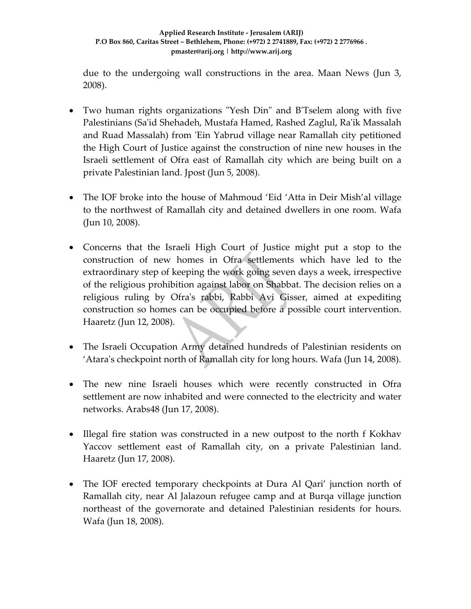due to the undergoing wall constructions in the area. Maan News (Jun 3, 2008).

- Two human rights organizations "Yesh Din" and B'Tselem along with five Palestinians (Saʹid Shehadeh, Mustafa Hamed, Rashed Zaglul, Raʹik Massalah and Ruad Massalah) from ʹEin Yabrud village near Ramallah city petitioned the High Court of Justice against the construction of nine new houses in the Israeli settlement of Ofra east of Ramallah city which are being built on a private Palestinian land. Jpost (Jun 5, 2008).
- The IOF broke into the house of Mahmoud 'Eid 'Atta in Deir Mish'al village to the northwest of Ramallah city and detained dwellers in one room. Wafa (Jun 10, 2008).
- Concerns that the Israeli High Court of Justice might put a stop to the construction of new homes in Ofra settlements which have led to the extraordinary step of keeping the work going seven days a week, irrespective of the religious prohibition against labor on Shabbat. The decision relies on a religious ruling by Ofra's rabbi, Rabbi Avi Gisser, aimed at expediting construction so homes can be occupied before a possible court intervention. Haaretz (Jun 12, 2008).
- The Israeli Occupation Army detained hundreds of Palestinian residents on 'Ataraʹs checkpoint north of Ramallah city for long hours. Wafa (Jun 14, 2008).
- The new nine Israeli houses which were recently constructed in Ofra settlement are now inhabited and were connected to the electricity and water networks. Arabs48 (Jun 17, 2008).
- Illegal fire station was constructed in a new outpost to the north f Kokhav Yaccov settlement east of Ramallah city, on a private Palestinian land. Haaretz (Jun 17, 2008).
- The IOF erected temporary checkpoints at Dura Al Qari' junction north of Ramallah city, near Al Jalazoun refugee camp and at Burqa village junction northeast of the governorate and detained Palestinian residents for hours. Wafa (Jun 18, 2008).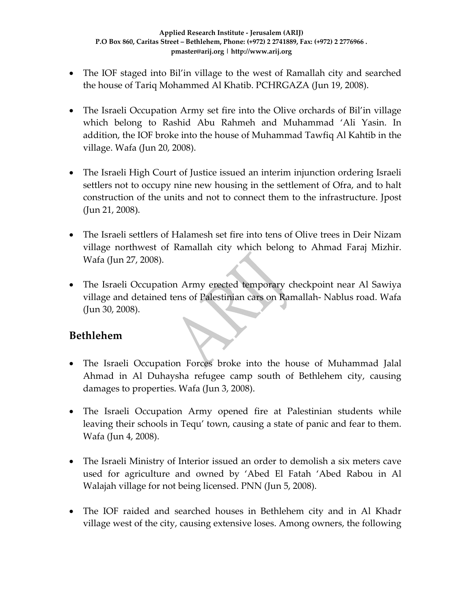- The IOF staged into Bil'in village to the west of Ramallah city and searched the house of Tariq Mohammed Al Khatib. PCHRGAZA (Jun 19, 2008).
- The Israeli Occupation Army set fire into the Olive orchards of Bil'in village which belong to Rashid Abu Rahmeh and Muhammad 'Ali Yasin. In addition, the IOF broke into the house of Muhammad Tawfiq Al Kahtib in the village. Wafa (Jun 20, 2008).
- The Israeli High Court of Justice issued an interim injunction ordering Israeli settlers not to occupy nine new housing in the settlement of Ofra, and to halt construction of the units and not to connect them to the infrastructure. Jpost (Jun 21, 2008).
- The Israeli settlers of Halamesh set fire into tens of Olive trees in Deir Nizam village northwest of Ramallah city which belong to Ahmad Faraj Mizhir. Wafa (Jun 27, 2008).
- The Israeli Occupation Army erected temporary checkpoint near Al Sawiya village and detained tens of Palestinian cars on Ramallah‐ Nablus road. Wafa (Jun 30, 2008).

## **Bethlehem**

- The Israeli Occupation Forces broke into the house of Muhammad Jalal Ahmad in Al Duhaysha refugee camp south of Bethlehem city, causing damages to properties. Wafa (Jun 3, 2008).
- The Israeli Occupation Army opened fire at Palestinian students while leaving their schools in Tequ' town, causing a state of panic and fear to them. Wafa (Jun 4, 2008).
- The Israeli Ministry of Interior issued an order to demolish a six meters cave used for agriculture and owned by 'Abed El Fatah 'Abed Rabou in Al Walajah village for not being licensed. PNN (Jun 5, 2008).
- The IOF raided and searched houses in Bethlehem city and in Al Khadr village west of the city, causing extensive loses. Among owners, the following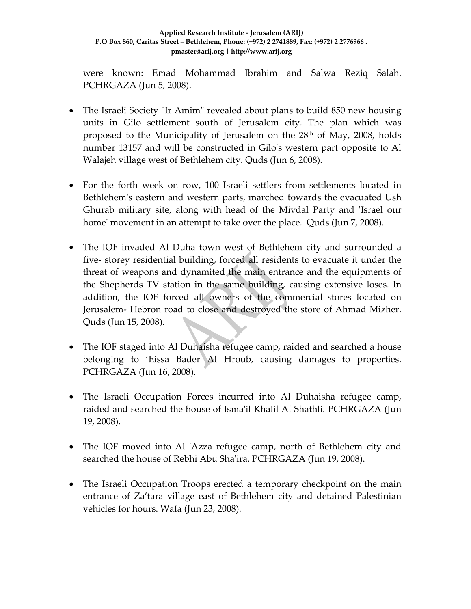were known: Emad Mohammad Ibrahim and Salwa Reziq Salah. PCHRGAZA (Jun 5, 2008).

- The Israeli Society "Ir Amim" revealed about plans to build 850 new housing units in Gilo settlement south of Jerusalem city. The plan which was proposed to the Municipality of Jerusalem on the  $28<sup>th</sup>$  of May, 2008, holds number 13157 and will be constructed in Giloʹs western part opposite to Al Walajeh village west of Bethlehem city. Quds (Jun 6, 2008).
- For the forth week on row, 100 Israeli settlers from settlements located in Bethlehemʹs eastern and western parts, marched towards the evacuated Ush Ghurab military site, along with head of the Mivdal Party and 'Israel our home' movement in an attempt to take over the place. Quds (Jun 7, 2008).
- The IOF invaded Al Duha town west of Bethlehem city and surrounded a five‐ storey residential building, forced all residents to evacuate it under the threat of weapons and dynamited the main entrance and the equipments of the Shepherds TV station in the same building, causing extensive loses. In addition, the IOF forced all owners of the commercial stores located on Jerusalem‐ Hebron road to close and destroyed the store of Ahmad Mizher. Quds (Jun 15, 2008).
- The IOF staged into Al Duhaisha refugee camp, raided and searched a house belonging to 'Eissa Bader Al Hroub, causing damages to properties. PCHRGAZA (Jun 16, 2008).
- The Israeli Occupation Forces incurred into Al Duhaisha refugee camp, raided and searched the house of Isma'il Khalil Al Shathli. PCHRGAZA (Jun 19, 2008).
- The IOF moved into Al 'Azza refugee camp, north of Bethlehem city and searched the house of Rebhi Abu Sha'ira. PCHRGAZA (Jun 19, 2008).
- The Israeli Occupation Troops erected a temporary checkpoint on the main entrance of Za'tara village east of Bethlehem city and detained Palestinian vehicles for hours. Wafa (Jun 23, 2008).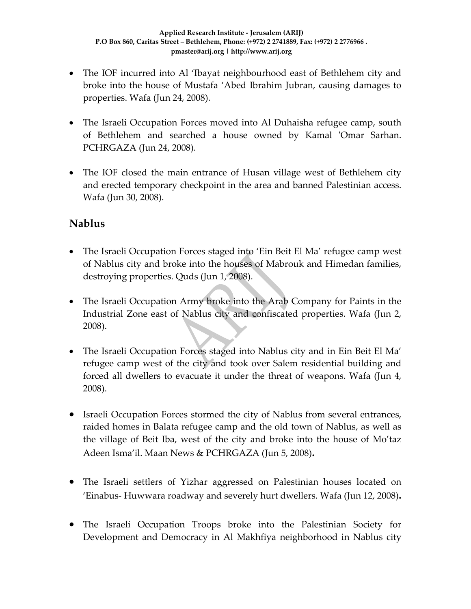- The IOF incurred into Al 'Ibayat neighbourhood east of Bethlehem city and broke into the house of Mustafa 'Abed Ibrahim Jubran, causing damages to properties. Wafa (Jun 24, 2008).
- The Israeli Occupation Forces moved into Al Duhaisha refugee camp, south of Bethlehem and searched a house owned by Kamal 'Omar Sarhan. PCHRGAZA (Jun 24, 2008).
- The IOF closed the main entrance of Husan village west of Bethlehem city and erected temporary checkpoint in the area and banned Palestinian access. Wafa (Jun 30, 2008).

## **Nablus**

- The Israeli Occupation Forces staged into 'Ein Beit El Ma' refugee camp west of Nablus city and broke into the houses of Mabrouk and Himedan families, destroying properties. Quds (Jun 1, 2008).
- The Israeli Occupation Army broke into the Arab Company for Paints in the Industrial Zone east of Nablus city and confiscated properties. Wafa (Jun 2, 2008).
- The Israeli Occupation Forces staged into Nablus city and in Ein Beit El Ma' refugee camp west of the city and took over Salem residential building and forced all dwellers to evacuate it under the threat of weapons. Wafa (Jun 4, 2008).
- Israeli Occupation Forces stormed the city of Nablus from several entrances, raided homes in Balata refugee camp and the old town of Nablus, as well as the village of Beit Iba, west of the city and broke into the house of Mo'taz Adeen Isma'il. Maan News & PCHRGAZA (Jun 5, 2008)**.**
- The Israeli settlers of Yizhar aggressed on Palestinian houses located on 'Einabus‐ Huwwara roadway and severely hurt dwellers. Wafa (Jun 12, 2008)**.**
- The Israeli Occupation Troops broke into the Palestinian Society for Development and Democracy in Al Makhfiya neighborhood in Nablus city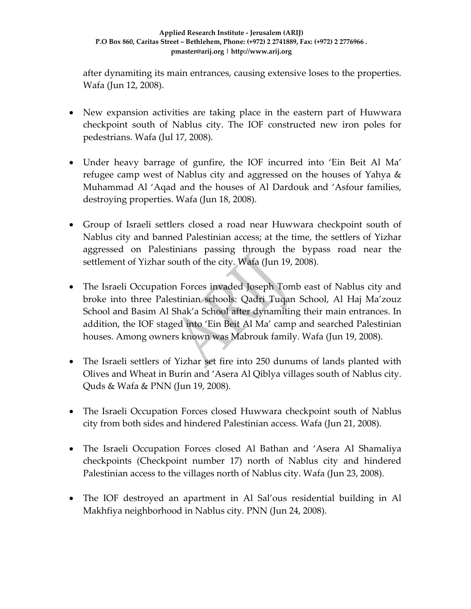after dynamiting its main entrances, causing extensive loses to the properties. Wafa (Jun 12, 2008).

- New expansion activities are taking place in the eastern part of Huwwara checkpoint south of Nablus city. The IOF constructed new iron poles for pedestrians. Wafa (Jul 17, 2008).
- Under heavy barrage of gunfire, the IOF incurred into 'Ein Beit Al Ma' refugee camp west of Nablus city and aggressed on the houses of Yahya & Muhammad Al 'Aqad and the houses of Al Dardouk and 'Asfour families, destroying properties. Wafa (Jun 18, 2008).
- Group of Israeli settlers closed a road near Huwwara checkpoint south of Nablus city and banned Palestinian access; at the time, the settlers of Yizhar aggressed on Palestinians passing through the bypass road near the settlement of Yizhar south of the city. Wafa (Jun 19, 2008).
- The Israeli Occupation Forces invaded Joseph Tomb east of Nablus city and broke into three Palestinian schools: Qadri Tuqan School, Al Haj Ma'zouz School and Basim Al Shak'a School after dynamiting their main entrances. In addition, the IOF staged into 'Ein Beit Al Ma' camp and searched Palestinian houses. Among owners known was Mabrouk family. Wafa (Jun 19, 2008).
- The Israeli settlers of Yizhar set fire into 250 dunums of lands planted with Olives and Wheat in Burin and 'Asera Al Qiblya villages south of Nablus city. Quds & Wafa & PNN (Jun 19, 2008).
- The Israeli Occupation Forces closed Huwwara checkpoint south of Nablus city from both sides and hindered Palestinian access. Wafa (Jun 21, 2008).
- The Israeli Occupation Forces closed Al Bathan and 'Asera Al Shamaliya checkpoints (Checkpoint number 17) north of Nablus city and hindered Palestinian access to the villages north of Nablus city. Wafa (Jun 23, 2008).
- The IOF destroyed an apartment in Al Sal'ous residential building in Al Makhfiya neighborhood in Nablus city. PNN (Jun 24, 2008).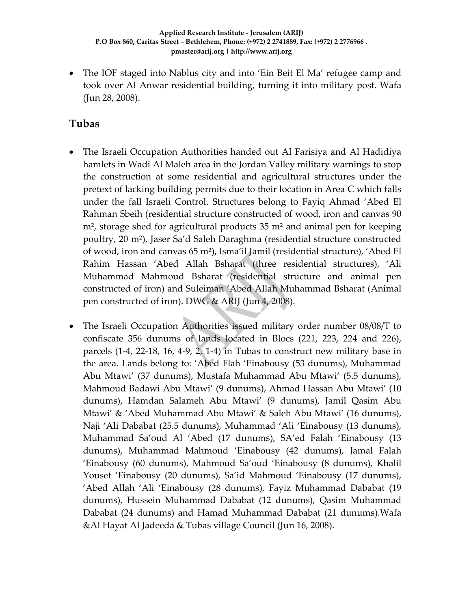• The IOF staged into Nablus city and into 'Ein Beit El Ma' refugee camp and took over Al Anwar residential building, turning it into military post. Wafa (Jun 28, 2008).

## **Tubas**

- The Israeli Occupation Authorities handed out Al Farisiya and Al Hadidiya hamlets in Wadi Al Maleh area in the Jordan Valley military warnings to stop the construction at some residential and agricultural structures under the pretext of lacking building permits due to their location in Area C which falls under the fall Israeli Control. Structures belong to Fayiq Ahmad 'Abed El Rahman Sbeih (residential structure constructed of wood, iron and canvas 90 m<sup>2</sup>, storage shed for agricultural products 35 m<sup>2</sup> and animal pen for keeping poultry, 20 m²), Jaser Sa'd Saleh Daraghma (residential structure constructed of wood, iron and canvas 65 m²), Isma'il Jamil (residential structure), 'Abed El Rahim Hassan 'Abed Allah Bsharat (three residential structures), 'Ali Muhammad Mahmoud Bsharat (residential structure and animal pen constructed of iron) and Suleiman 'Abed Allah Muhammad Bsharat (Animal pen constructed of iron). DWG & ARIJ (Jun 4, 2008).
- The Israeli Occupation Authorities issued military order number 08/08/T to confiscate 356 dunums of lands located in Blocs (221, 223, 224 and 226), parcels (1‐4, 22‐18, 16, 4‐9, 2, 1‐4) in Tubas to construct new military base in the area. Lands belong to: 'Abed Flah 'Einabousy (53 dunums), Muhammad Abu Mtawi' (37 dunums), Mustafa Muhammad Abu Mtawi' (5.5 dunums), Mahmoud Badawi Abu Mtawi' (9 dunums), Ahmad Hassan Abu Mtawi' (10 dunums), Hamdan Salameh Abu Mtawi' (9 dunums), Jamil Qasim Abu Mtawi' & 'Abed Muhammad Abu Mtawi' & Saleh Abu Mtawi' (16 dunums), Naji 'Ali Dababat (25.5 dunums), Muhammad 'Ali 'Einabousy (13 dunums), Muhammad Sa'oud Al 'Abed (17 dunums), SA'ed Falah 'Einabousy (13 dunums), Muhammad Mahmoud 'Einabousy (42 dunums), Jamal Falah 'Einabousy (60 dunums), Mahmoud Sa'oud 'Einabousy (8 dunums), Khalil Yousef 'Einabousy (20 dunums), Sa'id Mahmoud 'Einabousy (17 dunums), 'Abed Allah 'Ali 'Einabousy (28 dunums), Fayiz Muhammad Dababat (19 dunums), Hussein Muhammad Dababat (12 dunums), Qasim Muhammad Dababat (24 dunums) and Hamad Muhammad Dababat (21 dunums).Wafa &Al Hayat Al Jadeeda & Tubas village Council (Jun 16, 2008).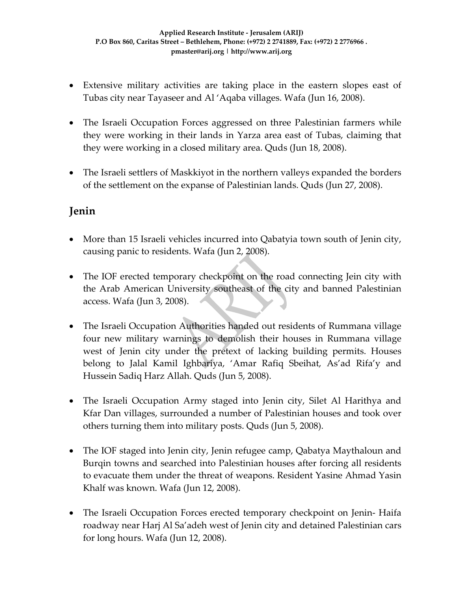- Extensive military activities are taking place in the eastern slopes east of Tubas city near Tayaseer and Al 'Aqaba villages. Wafa (Jun 16, 2008).
- The Israeli Occupation Forces aggressed on three Palestinian farmers while they were working in their lands in Yarza area east of Tubas, claiming that they were working in a closed military area. Quds (Jun 18, 2008).
- The Israeli settlers of Maskkiyot in the northern valleys expanded the borders of the settlement on the expanse of Palestinian lands. Quds (Jun 27, 2008).

## **Jenin**

- More than 15 Israeli vehicles incurred into Qabatyia town south of Jenin city, causing panic to residents. Wafa (Jun 2, 2008).
- The IOF erected temporary checkpoint on the road connecting Jein city with the Arab American University southeast of the city and banned Palestinian access. Wafa (Jun 3, 2008).
- The Israeli Occupation Authorities handed out residents of Rummana village four new military warnings to demolish their houses in Rummana village west of Jenin city under the pretext of lacking building permits. Houses belong to Jalal Kamil Ighbariya, 'Amar Rafiq Sbeihat, As'ad Rifa'y and Hussein Sadiq Harz Allah. Quds (Jun 5, 2008).
- The Israeli Occupation Army staged into Jenin city, Silet Al Harithya and Kfar Dan villages, surrounded a number of Palestinian houses and took over others turning them into military posts. Quds (Jun 5, 2008).
- The IOF staged into Jenin city, Jenin refugee camp, Qabatya Maythaloun and Burqin towns and searched into Palestinian houses after forcing all residents to evacuate them under the threat of weapons. Resident Yasine Ahmad Yasin Khalf was known. Wafa (Jun 12, 2008).
- The Israeli Occupation Forces erected temporary checkpoint on Jenin-Haifa roadway near Harj Al Sa'adeh west of Jenin city and detained Palestinian cars for long hours. Wafa (Jun 12, 2008).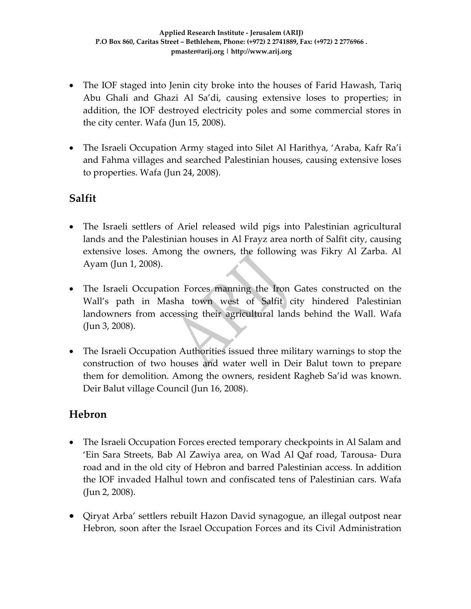- The IOF staged into Jenin city broke into the houses of Farid Hawash, Tariq Abu Ghali and Ghazi Al Sa'di, causing extensive loses to properties; in addition, the IOF destroyed electricity poles and some commercial stores in the city center. Wafa (Jun 15, 2008).
- The Israeli Occupation Army staged into Silet Al Harithya, 'Araba, Kafr Ra'i and Fahma villages and searched Palestinian houses, causing extensive loses to properties. Wafa (Jun 24, 2008).

## **Salfit**

- The Israeli settlers of Ariel released wild pigs into Palestinian agricultural lands and the Palestinian houses in Al Frayz area north of Salfit city, causing extensive loses. Among the owners, the following was Fikry Al Zarba. Al Ayam (Jun 1, 2008).
- The Israeli Occupation Forces manning the Iron Gates constructed on the Wall's path in Masha town west of Salfit city hindered Palestinian landowners from accessing their agricultural lands behind the Wall. Wafa (Jun 3, 2008).
- The Israeli Occupation Authorities issued three military warnings to stop the construction of two houses and water well in Deir Balut town to prepare them for demolition. Among the owners, resident Ragheb Sa'id was known. Deir Balut village Council (Jun 16, 2008).

### **Hebron**

- The Israeli Occupation Forces erected temporary checkpoints in Al Salam and 'Ein Sara Streets, Bab Al Zawiya area, on Wad Al Qaf road, Tarousa‐ Dura road and in the old city of Hebron and barred Palestinian access. In addition the IOF invaded Halhul town and confiscated tens of Palestinian cars. Wafa (Jun 2, 2008).
- Qiryat Arba' settlers rebuilt Hazon David synagogue, an illegal outpost near Hebron, soon after the Israel Occupation Forces and its Civil Administration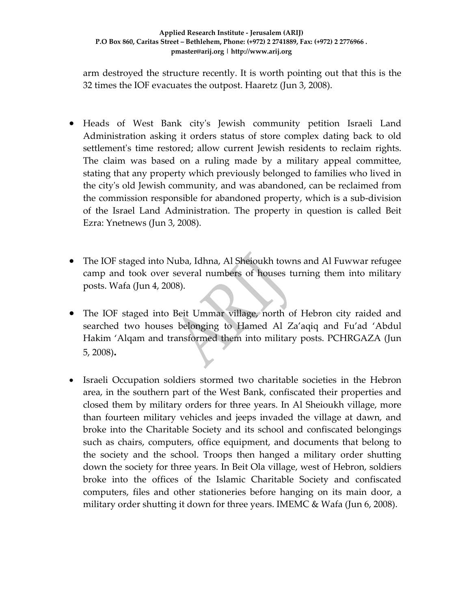arm destroyed the structure recently. It is worth pointing out that this is the 32 times the IOF evacuates the outpost. Haaretz (Jun 3, 2008).

- Heads of West Bank cityʹs Jewish community petition Israeli Land Administration asking it orders status of store complex dating back to old settlement's time restored; allow current Jewish residents to reclaim rights. The claim was based on a ruling made by a military appeal committee, stating that any property which previously belonged to families who lived in the cityʹs old Jewish community, and was abandoned, can be reclaimed from the commission responsible for abandoned property, which is a sub‐division of the Israel Land Administration. The property in question is called Beit Ezra: Ynetnews (Jun 3, 2008).
- The IOF staged into Nuba, Idhna, Al Sheioukh towns and Al Fuwwar refugee camp and took over several numbers of houses turning them into military posts. Wafa (Jun 4, 2008).
- The IOF staged into Beit Ummar village, north of Hebron city raided and searched two houses belonging to Hamed Al Za'aqiq and Fu'ad 'Abdul Hakim 'Alqam and transformed them into military posts. PCHRGAZA (Jun 5, 2008)**.**
- Israeli Occupation soldiers stormed two charitable societies in the Hebron area, in the southern part of the West Bank, confiscated their properties and closed them by military orders for three years. In Al Sheioukh village, more than fourteen military vehicles and jeeps invaded the village at dawn, and broke into the Charitable Society and its school and confiscated belongings such as chairs, computers, office equipment, and documents that belong to the society and the school. Troops then hanged a military order shutting down the society for three years. In Beit Ola village, west of Hebron, soldiers broke into the offices of the Islamic Charitable Society and confiscated computers, files and other stationeries before hanging on its main door, a military order shutting it down for three years. IMEMC & Wafa (Jun 6, 2008).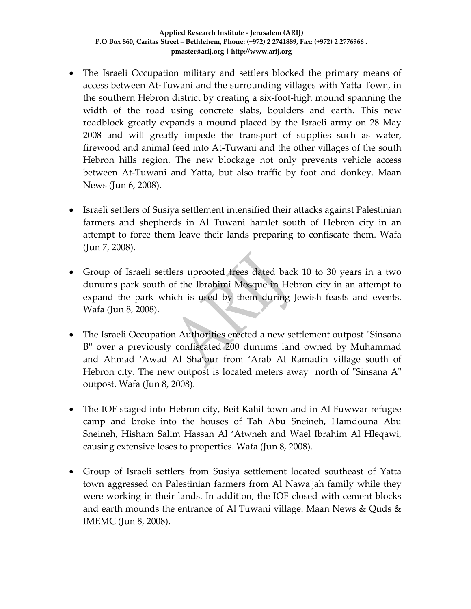- The Israeli Occupation military and settlers blocked the primary means of access between At‐Tuwani and the surrounding villages with Yatta Town, in the southern Hebron district by creating a six‐foot‐high mound spanning the width of the road using concrete slabs, boulders and earth. This new roadblock greatly expands a mound placed by the Israeli army on 28 May 2008 and will greatly impede the transport of supplies such as water, firewood and animal feed into At‐Tuwani and the other villages of the south Hebron hills region. The new blockage not only prevents vehicle access between At‐Tuwani and Yatta, but also traffic by foot and donkey. Maan News (Jun 6, 2008).
- Israeli settlers of Susiya settlement intensified their attacks against Palestinian farmers and shepherds in Al Tuwani hamlet south of Hebron city in an attempt to force them leave their lands preparing to confiscate them. Wafa (Jun 7, 2008).
- Group of Israeli settlers uprooted trees dated back 10 to 30 years in a two dunums park south of the Ibrahimi Mosque in Hebron city in an attempt to expand the park which is used by them during Jewish feasts and events. Wafa (Jun 8, 2008).
- The Israeli Occupation Authorities erected a new settlement outpost "Sinsana B" over a previously confiscated 200 dunums land owned by Muhammad and Ahmad 'Awad Al Sha'our from 'Arab Al Ramadin village south of Hebron city. The new outpost is located meters away north of "Sinsana A" outpost. Wafa (Jun 8, 2008).
- The IOF staged into Hebron city, Beit Kahil town and in Al Fuwwar refugee camp and broke into the houses of Tah Abu Sneineh, Hamdouna Abu Sneineh, Hisham Salim Hassan Al 'Atwneh and Wael Ibrahim Al Hleqawi, causing extensive loses to properties. Wafa (Jun 8, 2008).
- Group of Israeli settlers from Susiya settlement located southeast of Yatta town aggressed on Palestinian farmers from Al Nawa'jah family while they were working in their lands. In addition, the IOF closed with cement blocks and earth mounds the entrance of Al Tuwani village. Maan News & Quds & IMEMC (Jun 8, 2008).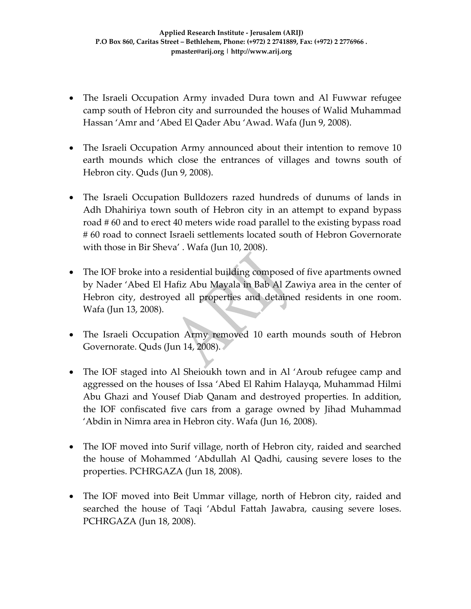- The Israeli Occupation Army invaded Dura town and Al Fuwwar refugee camp south of Hebron city and surrounded the houses of Walid Muhammad Hassan 'Amr and 'Abed El Qader Abu 'Awad. Wafa (Jun 9, 2008).
- The Israeli Occupation Army announced about their intention to remove 10 earth mounds which close the entrances of villages and towns south of Hebron city. Quds (Jun 9, 2008).
- The Israeli Occupation Bulldozers razed hundreds of dunums of lands in Adh Dhahiriya town south of Hebron city in an attempt to expand bypass road # 60 and to erect 40 meters wide road parallel to the existing bypass road # 60 road to connect Israeli settlements located south of Hebron Governorate with those in Bir Sheva' . Wafa (Jun 10, 2008).
- The IOF broke into a residential building composed of five apartments owned by Nader 'Abed El Hafiz Abu Mayala in Bab Al Zawiya area in the center of Hebron city, destroyed all properties and detained residents in one room. Wafa (Jun 13, 2008).
- The Israeli Occupation Army removed 10 earth mounds south of Hebron Governorate. Quds (Jun 14, 2008).
- The IOF staged into Al Sheioukh town and in Al 'Aroub refugee camp and aggressed on the houses of Issa 'Abed El Rahim Halayqa, Muhammad Hilmi Abu Ghazi and Yousef Diab Qanam and destroyed properties. In addition, the IOF confiscated five cars from a garage owned by Jihad Muhammad 'Abdin in Nimra area in Hebron city. Wafa (Jun 16, 2008).
- The IOF moved into Surif village, north of Hebron city, raided and searched the house of Mohammed 'Abdullah Al Qadhi, causing severe loses to the properties. PCHRGAZA (Jun 18, 2008).
- The IOF moved into Beit Ummar village, north of Hebron city, raided and searched the house of Taqi 'Abdul Fattah Jawabra, causing severe loses. PCHRGAZA (Jun 18, 2008).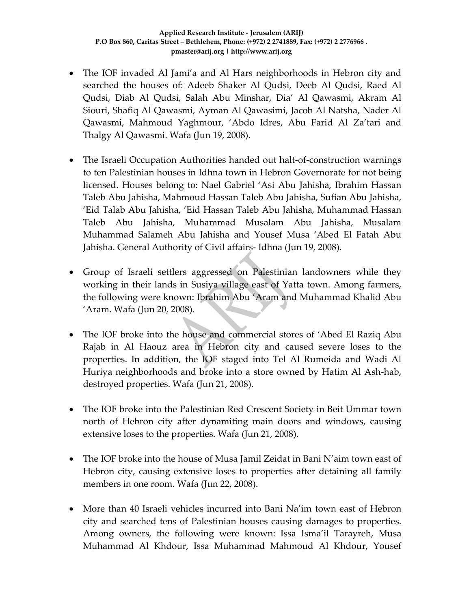- The IOF invaded Al Jami'a and Al Hars neighborhoods in Hebron city and searched the houses of: Adeeb Shaker Al Qudsi, Deeb Al Qudsi, Raed Al Qudsi, Diab Al Qudsi, Salah Abu Minshar, Dia' Al Qawasmi, Akram Al Siouri, Shafiq Al Qawasmi, Ayman Al Qawasimi, Jacob Al Natsha, Nader Al Qawasmi, Mahmoud Yaghmour, 'Abdo Idres, Abu Farid Al Za'tari and Thalgy Al Qawasmi. Wafa (Jun 19, 2008).
- The Israeli Occupation Authorities handed out halt-of-construction warnings to ten Palestinian houses in Idhna town in Hebron Governorate for not being licensed. Houses belong to: Nael Gabriel 'Asi Abu Jahisha, Ibrahim Hassan Taleb Abu Jahisha, Mahmoud Hassan Taleb Abu Jahisha, Sufian Abu Jahisha, 'Eid Talab Abu Jahisha, 'Eid Hassan Taleb Abu Jahisha, Muhammad Hassan Taleb Abu Jahisha, Muhammad Musalam Abu Jahisha, Musalam Muhammad Salameh Abu Jahisha and Yousef Musa 'Abed El Fatah Abu Jahisha. General Authority of Civil affairs‐ Idhna (Jun 19, 2008).
- Group of Israeli settlers aggressed on Palestinian landowners while they working in their lands in Susiya village east of Yatta town. Among farmers, the following were known: Ibrahim Abu 'Aram and Muhammad Khalid Abu 'Aram. Wafa (Jun 20, 2008).
- The IOF broke into the house and commercial stores of 'Abed El Raziq Abu Rajab in Al Haouz area in Hebron city and caused severe loses to the properties. In addition, the IOF staged into Tel Al Rumeida and Wadi Al Huriya neighborhoods and broke into a store owned by Hatim Al Ash‐hab, destroyed properties. Wafa (Jun 21, 2008).
- The IOF broke into the Palestinian Red Crescent Society in Beit Ummar town north of Hebron city after dynamiting main doors and windows, causing extensive loses to the properties. Wafa (Jun 21, 2008).
- The IOF broke into the house of Musa Jamil Zeidat in Bani N'aim town east of Hebron city, causing extensive loses to properties after detaining all family members in one room. Wafa (Jun 22, 2008).
- More than 40 Israeli vehicles incurred into Bani Na'im town east of Hebron city and searched tens of Palestinian houses causing damages to properties. Among owners, the following were known: Issa Isma'il Tarayreh, Musa Muhammad Al Khdour, Issa Muhammad Mahmoud Al Khdour, Yousef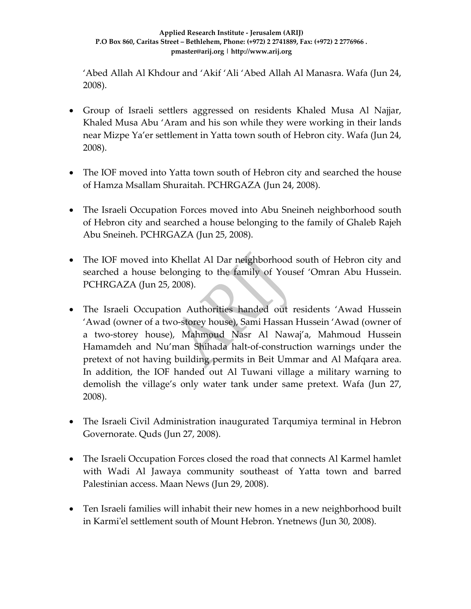'Abed Allah Al Khdour and 'Akif 'Ali 'Abed Allah Al Manasra. Wafa (Jun 24, 2008).

- Group of Israeli settlers aggressed on residents Khaled Musa Al Najjar, Khaled Musa Abu 'Aram and his son while they were working in their lands near Mizpe Ya'er settlement in Yatta town south of Hebron city. Wafa (Jun 24, 2008).
- The IOF moved into Yatta town south of Hebron city and searched the house of Hamza Msallam Shuraitah. PCHRGAZA (Jun 24, 2008).
- The Israeli Occupation Forces moved into Abu Sneineh neighborhood south of Hebron city and searched a house belonging to the family of Ghaleb Rajeh Abu Sneineh. PCHRGAZA (Jun 25, 2008).
- The IOF moved into Khellat Al Dar neighborhood south of Hebron city and searched a house belonging to the family of Yousef 'Omran Abu Hussein. PCHRGAZA (Jun 25, 2008).
- The Israeli Occupation Authorities handed out residents 'Awad Hussein 'Awad (owner of a two‐storey house), Sami Hassan Hussein 'Awad (owner of a two‐storey house), Mahmoud Nasr Al Nawaj'a, Mahmoud Hussein Hamamdeh and Nu'man Shihada halt‐of‐construction warnings under the pretext of not having building permits in Beit Ummar and Al Mafqara area. In addition, the IOF handed out Al Tuwani village a military warning to demolish the village's only water tank under same pretext. Wafa (Jun 27, 2008).
- The Israeli Civil Administration inaugurated Tarqumiya terminal in Hebron Governorate. Quds (Jun 27, 2008).
- The Israeli Occupation Forces closed the road that connects Al Karmel hamlet with Wadi Al Jawaya community southeast of Yatta town and barred Palestinian access. Maan News (Jun 29, 2008).
- Ten Israeli families will inhabit their new homes in a new neighborhood built in Karmi'el settlement south of Mount Hebron. Ynetnews (Jun 30, 2008).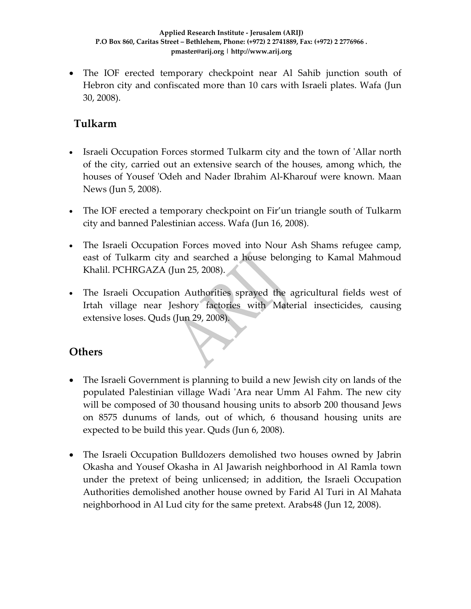• The IOF erected temporary checkpoint near Al Sahib junction south of Hebron city and confiscated more than 10 cars with Israeli plates. Wafa (Jun 30, 2008).

## **Tulkarm**

- Israeli Occupation Forces stormed Tulkarm city and the town of ʹAllar north of the city, carried out an extensive search of the houses, among which, the houses of Yousef 'Odeh and Nader Ibrahim Al-Kharouf were known. Maan News (Jun 5, 2008).
- The IOF erected a temporary checkpoint on Fir'un triangle south of Tulkarm city and banned Palestinian access. Wafa (Jun 16, 2008).
- The Israeli Occupation Forces moved into Nour Ash Shams refugee camp, east of Tulkarm city and searched a house belonging to Kamal Mahmoud Khalil. PCHRGAZA (Jun 25, 2008).
- The Israeli Occupation Authorities sprayed the agricultural fields west of Irtah village near Jeshory factories with Material insecticides, causing extensive loses. Quds (Jun 29, 2008).

## **Others**

- The Israeli Government is planning to build a new Jewish city on lands of the populated Palestinian village Wadi ʹAra near Umm Al Fahm. The new city will be composed of 30 thousand housing units to absorb 200 thousand Jews on 8575 dunums of lands, out of which, 6 thousand housing units are expected to be build this year. Quds (Jun 6, 2008).
- The Israeli Occupation Bulldozers demolished two houses owned by Jabrin Okasha and Yousef Okasha in Al Jawarish neighborhood in Al Ramla town under the pretext of being unlicensed; in addition, the Israeli Occupation Authorities demolished another house owned by Farid Al Turi in Al Mahata neighborhood in Al Lud city for the same pretext. Arabs48 (Jun 12, 2008).